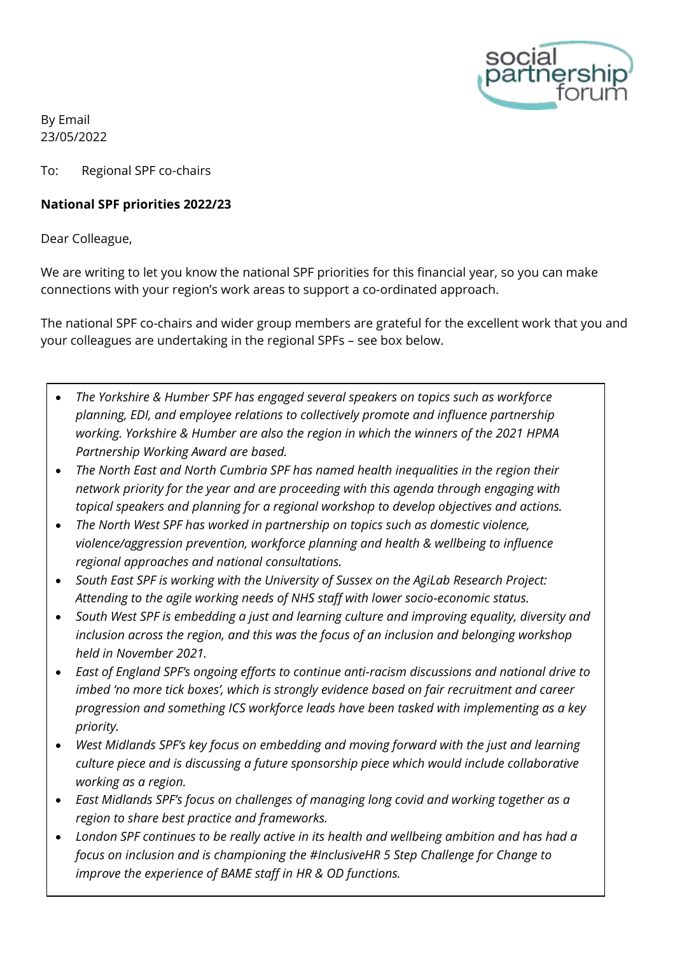

By Email 23/05/2022

To: Regional SPF co-chairs

## **National SPF priorities 2022/23**

Dear Colleague,

We are writing to let you know the national SPF priorities for this financial year, so you can make connections with your region's work areas to support a co-ordinated approach.

The national SPF co-chairs and wider group members are grateful for the excellent work that you and your colleagues are undertaking in the regional SPFs – see box below.

- *The Yorkshire & Humber SPF has engaged several speakers on topics such as workforce planning, EDI, and employee relations to collectively promote and influence partnership working. Yorkshire & Humber are also the region in which the winners of the 2021 HPMA Partnership Working Award are based.*
- *The North East and North Cumbria SPF has named health inequalities in the region their network priority for the year and are proceeding with this agenda through engaging with topical speakers and planning for a regional workshop to develop objectives and actions.*
- *The North West SPF has worked in partnership on topics such as domestic violence, violence/aggression prevention, workforce planning and health & wellbeing to influence regional approaches and national consultations.*
- *South East SPF is working with the University of Sussex on the AgiLab Research Project: Attending to the agile working needs of NHS staff with lower socio-economic status.*
- *South West SPF is embedding a just and learning culture and improving equality, diversity and inclusion across the region, and this was the focus of an inclusion and belonging workshop held in November 2021.*
- *East of England SPF's ongoing efforts to continue anti-racism discussions and national drive to imbed 'no more tick boxes', which is strongly evidence based on fair recruitment and career progression and something ICS workforce leads have been tasked with implementing as a key priority.*
- *West Midlands SPF's key focus on embedding and moving forward with the just and learning culture piece and is discussing a future sponsorship piece which would include collaborative working as a region.*
- *East Midlands SPF's focus on challenges of managing long covid and working together as a region to share best practice and frameworks.*
- *London SPF continues to be really active in its health and wellbeing ambition and has had a focus on inclusion and is championing the #InclusiveHR 5 Step Challenge for Change to improve the experience of BAME staff in HR & OD functions.*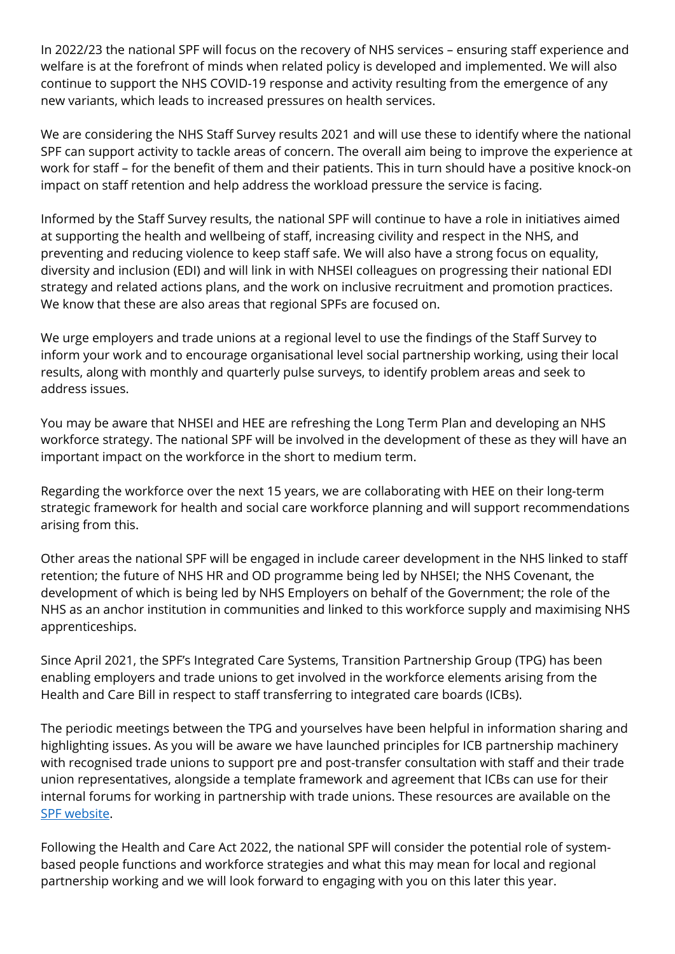In 2022/23 the national SPF will focus on the recovery of NHS services – ensuring staff experience and welfare is at the forefront of minds when related policy is developed and implemented. We will also continue to support the NHS COVID-19 response and activity resulting from the emergence of any new variants, which leads to increased pressures on health services.

We are considering the NHS Staff Survey results 2021 and will use these to identify where the national SPF can support activity to tackle areas of concern. The overall aim being to improve the experience at work for staff – for the benefit of them and their patients. This in turn should have a positive knock-on impact on staff retention and help address the workload pressure the service is facing.

Informed by the Staff Survey results, the national SPF will continue to have a role in initiatives aimed at supporting the health and wellbeing of staff, increasing civility and respect in the NHS, and preventing and reducing violence to keep staff safe. We will also have a strong focus on equality, diversity and inclusion (EDI) and will link in with NHSEI colleagues on progressing their national EDI strategy and related actions plans, and the work on inclusive recruitment and promotion practices. We know that these are also areas that regional SPFs are focused on.

We urge employers and trade unions at a regional level to use the findings of the Staff Survey to inform your work and to encourage organisational level social partnership working, using their local results, along with monthly and quarterly pulse surveys, to identify problem areas and seek to address issues.

You may be aware that NHSEI and HEE are refreshing the Long Term Plan and developing an NHS workforce strategy. The national SPF will be involved in the development of these as they will have an important impact on the workforce in the short to medium term.

Regarding the workforce over the next 15 years, we are collaborating with HEE on their long-term strategic framework for health and social care workforce planning and will support recommendations arising from this.

Other areas the national SPF will be engaged in include career development in the NHS linked to staff retention; the future of NHS HR and OD programme being led by NHSEI; the NHS Covenant, the development of which is being led by NHS Employers on behalf of the Government; the role of the NHS as an anchor institution in communities and linked to this workforce supply and maximising NHS apprenticeships.

Since April 2021, the SPF's Integrated Care Systems, Transition Partnership Group (TPG) has been enabling employers and trade unions to get involved in the workforce elements arising from the Health and Care Bill in respect to staff transferring to integrated care boards (ICBs).

The periodic meetings between the TPG and yourselves have been helpful in information sharing and highlighting issues. As you will be aware we have launched [principles](https://email.nhsconfed.org/t/6OI9-IN98-ZIK0ZJ-CQRL8-1/c.aspx) for ICB partnership machinery with recognised trade unions to support pre and post-transfer consultation with staff and their trade union representatives, alongside a template framework and agreement that ICBs can use for their internal forums for working in partnership with trade unions. These resources are available on the [SPF website.](https://www.socialpartnershipforum.org/topics/supporting-system-development-and-service-delivery)

Following the Health and Care Act 2022, the national SPF will consider the potential role of systembased people functions and workforce strategies and what this may mean for local and regional partnership working and we will look forward to engaging with you on this later this year.